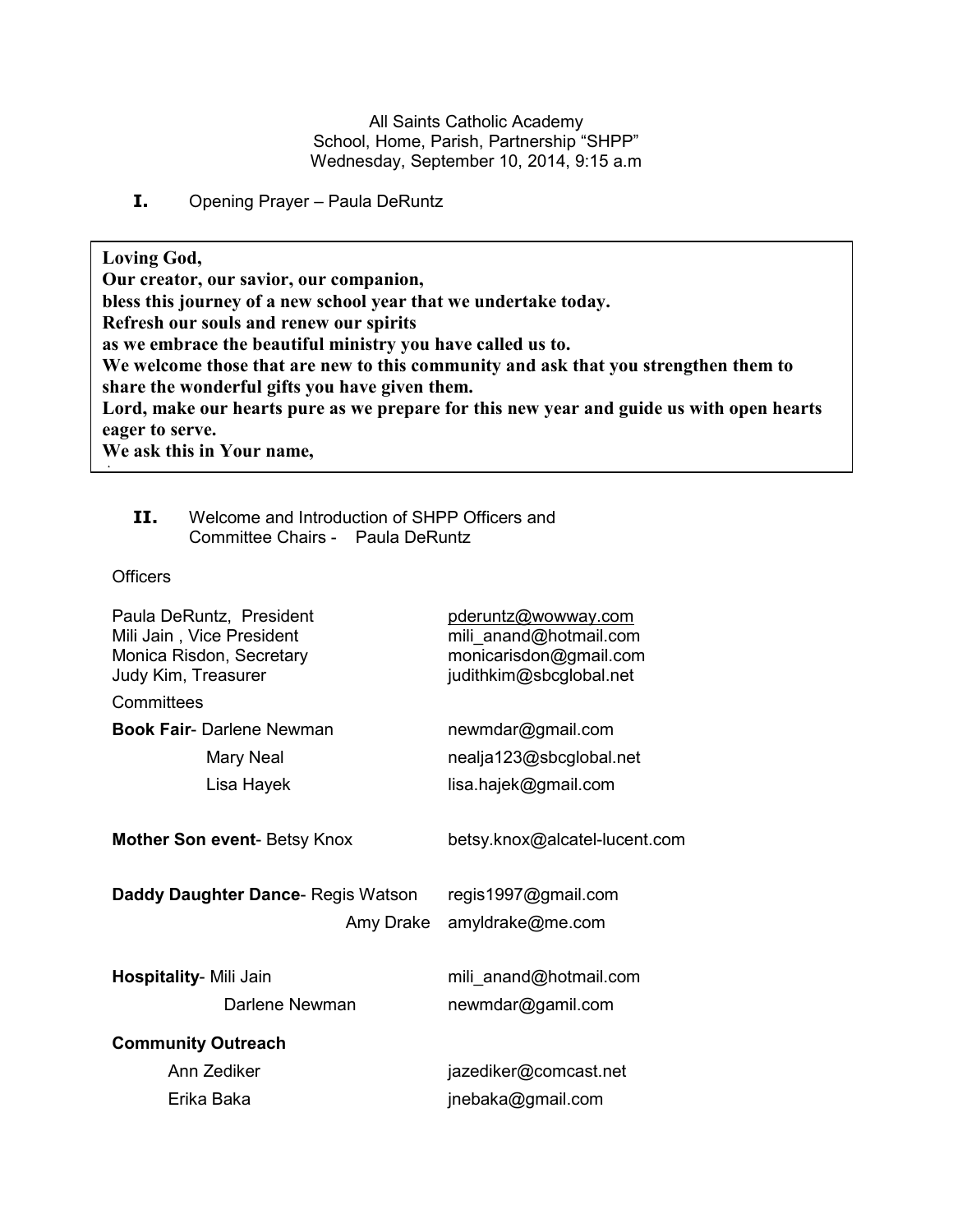All Saints Catholic Academy School, Home, Parish, Partnership "SHPP" Wednesday, September 10, 2014, 9:15 a.m

**I.** Opening Prayer – Paula DeRuntz

**Loving God, Our creator, our savior, our companion, bless this journey of a new school year that we undertake today. Refresh our souls and renew our spirits as we embrace the beautiful ministry you have called us to. We welcome those that are new to this community and ask that you strengthen them to share the wonderful gifts you have given them. Lord, make our hearts pure as we prepare for this new year and guide us with open hearts eager to serve. We ask this in Your name,** 

# **II.** Welcome and Introduction of SHPP Officers and Committee Chairs - Paula DeRuntz

**Officers** 

**Amen**

| pderuntz@wowway.com<br>mili_anand@hotmail.com<br>monicarisdon@gmail.com<br>judithkim@sbcglobal.net |
|----------------------------------------------------------------------------------------------------|
|                                                                                                    |
| newmdar@gmail.com                                                                                  |
| nealja123@sbcglobal.net                                                                            |
| lisa.hajek@gmail.com                                                                               |
| betsy.knox@alcatel-lucent.com                                                                      |
| regis1997@gmail.com                                                                                |
| amyldrake@me.com<br>Amy Drake                                                                      |
| mili_anand@hotmail.com                                                                             |
| newmdar@gamil.com                                                                                  |
|                                                                                                    |
| jazediker@comcast.net                                                                              |
| jnebaka@gmail.com                                                                                  |
|                                                                                                    |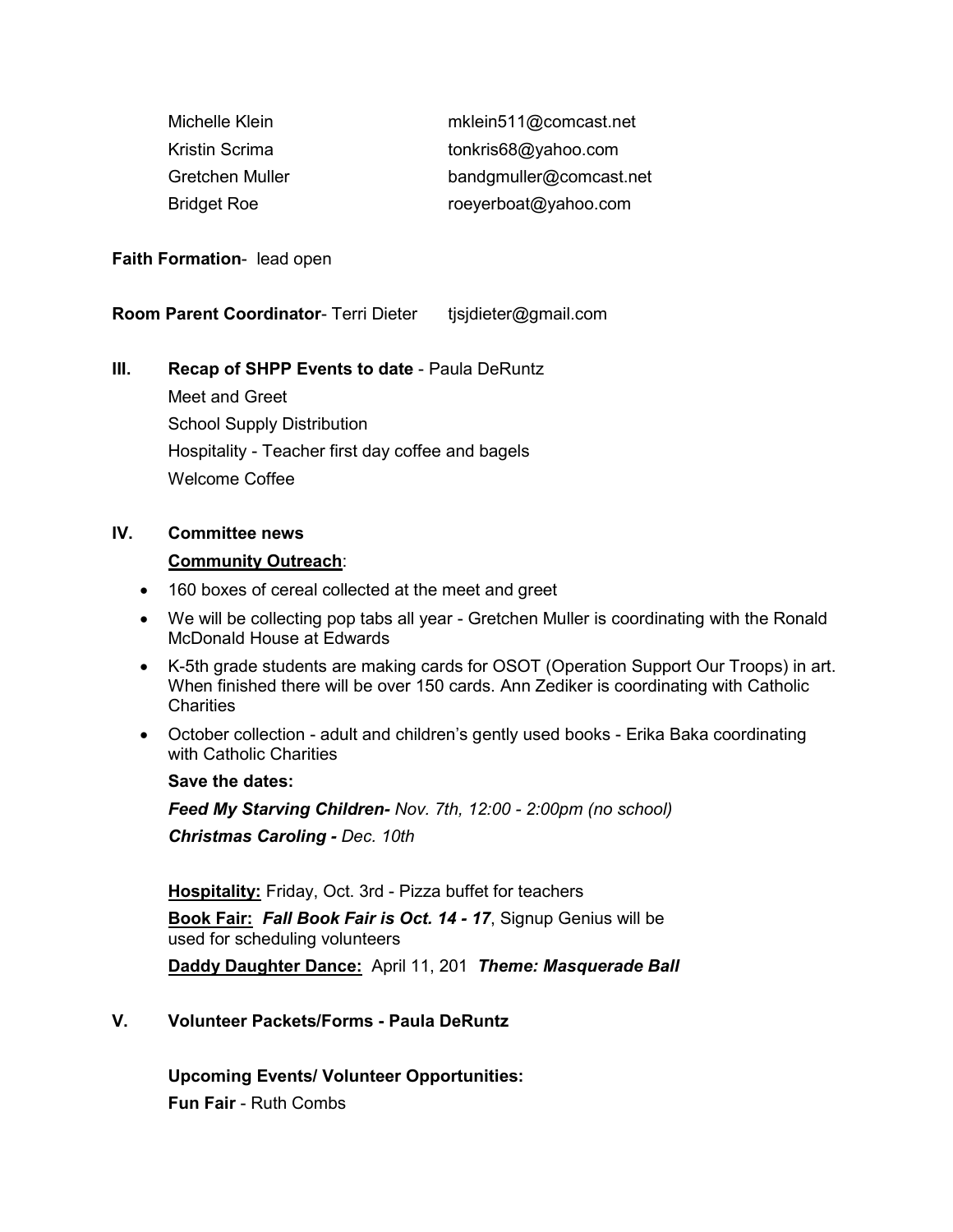| Michelle Klein     | mklein511@comcast.net   |
|--------------------|-------------------------|
| Kristin Scrima     | tonkris68@yahoo.com     |
| Gretchen Muller    | bandgmuller@comcast.net |
| <b>Bridget Roe</b> | roeyerboat@yahoo.com    |

#### **Faith Formation**- lead open

**Room Parent Coordinator- Terri Dieter** tjsjdieter@gmail.com

## **III. Recap of SHPP Events to date** - Paula DeRuntz

 Meet and Greet School Supply Distribution Hospitality - Teacher first day coffee and bagels Welcome Coffee

## **IV. Committee news**

#### **Community Outreach**:

- 160 boxes of cereal collected at the meet and greet
- We will be collecting pop tabs all year Gretchen Muller is coordinating with the Ronald McDonald House at Edwards
- K-5th grade students are making cards for OSOT (Operation Support Our Troops) in art. When finished there will be over 150 cards. Ann Zediker is coordinating with Catholic Charities
- October collection adult and children's gently used books Erika Baka coordinating with Catholic Charities

#### **Save the dates:**

*Feed My Starving Children- Nov. 7th, 12:00 - 2:00pm (no school) Christmas Caroling - Dec. 10th* 

**Hospitality:** Friday, Oct. 3rd - Pizza buffet for teachers

**Book Fair:** *Fall Book Fair is Oct. 14 - 17*, Signup Genius will be used for scheduling volunteers

**Daddy Daughter Dance:** April 11, 201 *Theme: Masquerade Ball* 

# **V. Volunteer Packets/Forms - Paula DeRuntz**

 **Upcoming Events/ Volunteer Opportunities:** 

**Fun Fair** - Ruth Combs